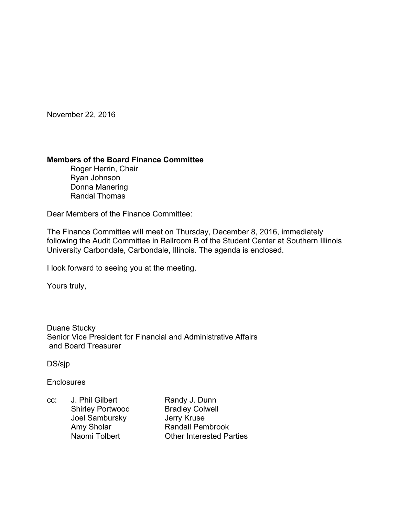November 22, 2016

## **Members of the Board Finance Committee**

 Roger Herrin, Chair Ryan Johnson Donna Manering Randal Thomas

Dear Members of the Finance Committee:

The Finance Committee will meet on Thursday, December 8, 2016, immediately following the Audit Committee in Ballroom B of the Student Center at Southern Illinois University Carbondale, Carbondale, Illinois. The agenda is enclosed.

I look forward to seeing you at the meeting.

Yours truly,

Duane Stucky Senior Vice President for Financial and Administrative Affairs and Board Treasurer

DS/sjp

**Enclosures** 

cc: J. Phil Gilbert Randy J. Dunn Shirley Portwood Bradley Colwell Joel Sambursky Jerry Kruse<br>
Amy Sholar **Bandall Pen** 

Amy Sholar **Randall Pembrook**<br>
Naomi Tolbert **Randall Pembrook**<br>
Other Interested Pa Other Interested Parties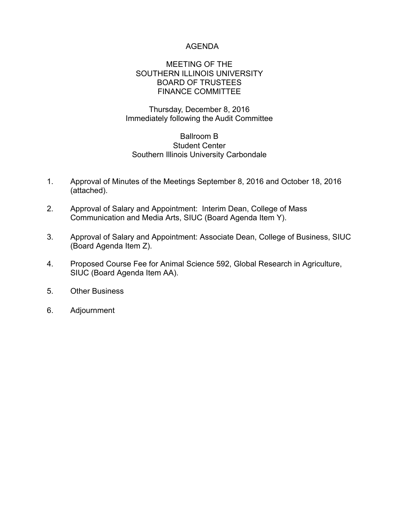# AGENDA

## MEETING OF THE SOUTHERN ILLINOIS UNIVERSITY BOARD OF TRUSTEES FINANCE COMMITTEE

# Thursday, December 8, 2016 Immediately following the Audit Committee

### Ballroom B Student Center Southern Illinois University Carbondale

- 1. Approval of Minutes of the Meetings September 8, 2016 and October 18, 2016 (attached).
- 2. Approval of Salary and Appointment: Interim Dean, College of Mass Communication and Media Arts, SIUC (Board Agenda Item Y).
- 3. Approval of Salary and Appointment: Associate Dean, College of Business, SIUC (Board Agenda Item Z).
- 4. Proposed Course Fee for Animal Science 592, Global Research in Agriculture, SIUC (Board Agenda Item AA).
- 5. Other Business
- 6. Adjournment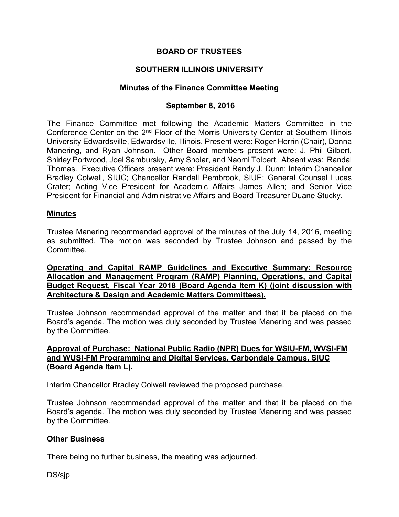# **BOARD OF TRUSTEES**

# **SOUTHERN ILLINOIS UNIVERSITY**

## **Minutes of the Finance Committee Meeting**

## **September 8, 2016**

The Finance Committee met following the Academic Matters Committee in the Conference Center on the 2<sup>nd</sup> Floor of the Morris University Center at Southern Illinois University Edwardsville, Edwardsville, Illinois. Present were: Roger Herrin (Chair), Donna Manering, and Ryan Johnson. Other Board members present were: J. Phil Gilbert, Shirley Portwood, Joel Sambursky, Amy Sholar, and Naomi Tolbert. Absent was: Randal Thomas. Executive Officers present were: President Randy J. Dunn; Interim Chancellor Bradley Colwell, SIUC; Chancellor Randall Pembrook, SIUE; General Counsel Lucas Crater; Acting Vice President for Academic Affairs James Allen; and Senior Vice President for Financial and Administrative Affairs and Board Treasurer Duane Stucky.

#### **Minutes**

Trustee Manering recommended approval of the minutes of the July 14, 2016, meeting as submitted. The motion was seconded by Trustee Johnson and passed by the Committee.

**Operating and Capital RAMP Guidelines and Executive Summary: Resource Allocation and Management Program (RAMP) Planning, Operations, and Capital Budget Request, Fiscal Year 2018 (Board Agenda Item K) (joint discussion with Architecture & Design and Academic Matters Committees).** 

Trustee Johnson recommended approval of the matter and that it be placed on the Board's agenda. The motion was duly seconded by Trustee Manering and was passed by the Committee.

## **Approval of Purchase: National Public Radio (NPR) Dues for WSIU-FM, WVSI-FM and WUSI-FM Programming and Digital Services, Carbondale Campus, SIUC (Board Agenda Item L).**

Interim Chancellor Bradley Colwell reviewed the proposed purchase.

Trustee Johnson recommended approval of the matter and that it be placed on the Board's agenda. The motion was duly seconded by Trustee Manering and was passed by the Committee.

# **Other Business**

There being no further business, the meeting was adjourned.

DS/sjp